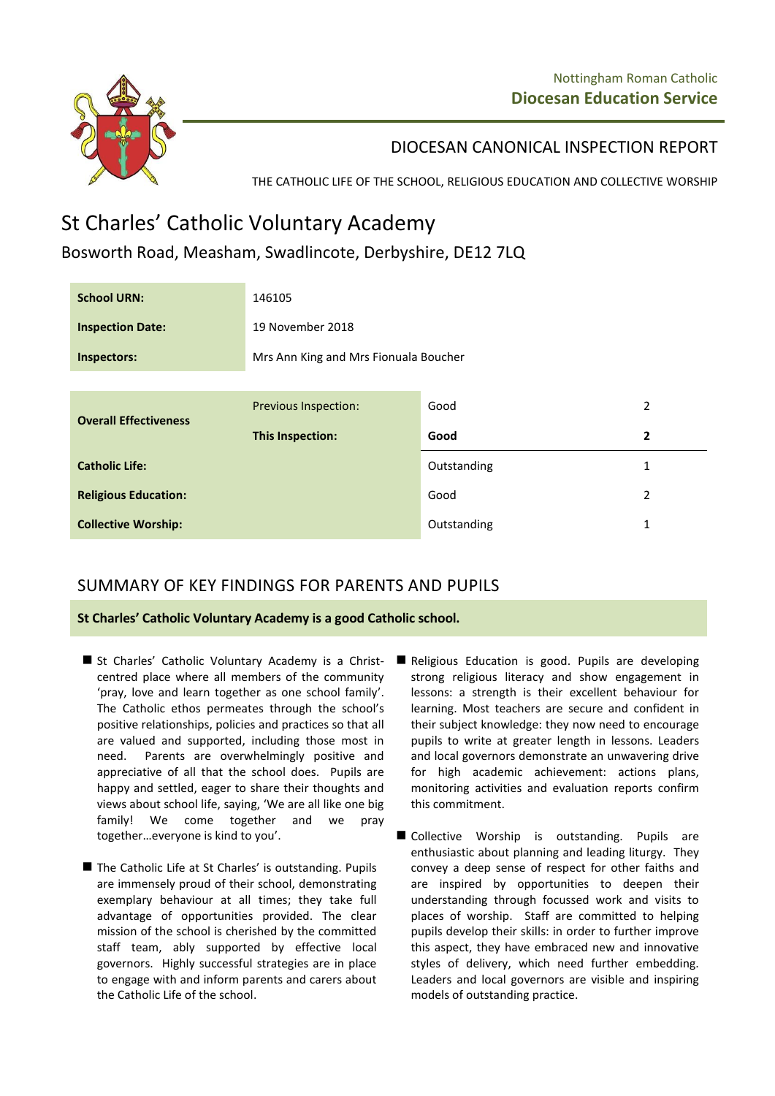

DIOCESAN CANONICAL INSPECTION REPORT

THE CATHOLIC LIFE OF THE SCHOOL, RELIGIOUS EDUCATION AND COLLECTIVE WORSHIP

## St Charles' Catholic Voluntary Academy

Bosworth Road, Measham, Swadlincote, Derbyshire, DE12 7LQ

| <b>School URN:</b>           | 146105                                |             |   |
|------------------------------|---------------------------------------|-------------|---|
| <b>Inspection Date:</b>      | 19 November 2018                      |             |   |
| Inspectors:                  | Mrs Ann King and Mrs Fionuala Boucher |             |   |
|                              |                                       |             |   |
| <b>Overall Effectiveness</b> | <b>Previous Inspection:</b>           | Good        | 2 |
|                              | <b>This Inspection:</b>               | Good        | 2 |
| <b>Catholic Life:</b>        |                                       | Outstanding | 1 |
| <b>Religious Education:</b>  |                                       | Good        | 2 |
| <b>Collective Worship:</b>   |                                       | Outstanding | 1 |

## SUMMARY OF KEY FINDINGS FOR PARENTS AND PUPILS

**St Charles' Catholic Voluntary Academy is a good Catholic school.**

- St Charles' Catholic Voluntary Academy is a Christcentred place where all members of the community 'pray, love and learn together as one school family'. The Catholic ethos permeates through the school's positive relationships, policies and practices so that all are valued and supported, including those most in need. Parents are overwhelmingly positive and appreciative of all that the school does. Pupils are happy and settled, eager to share their thoughts and views about school life, saying, 'We are all like one big family! We come together and we pray together…everyone is kind to you'.
- The Catholic Life at St Charles' is outstanding. Pupils are immensely proud of their school, demonstrating exemplary behaviour at all times; they take full advantage of opportunities provided. The clear mission of the school is cherished by the committed staff team, ably supported by effective local governors. Highly successful strategies are in place to engage with and inform parents and carers about the Catholic Life of the school.
- Religious Education is good. Pupils are developing strong religious literacy and show engagement in lessons: a strength is their excellent behaviour for learning. Most teachers are secure and confident in their subject knowledge: they now need to encourage pupils to write at greater length in lessons. Leaders and local governors demonstrate an unwavering drive for high academic achievement: actions plans, monitoring activities and evaluation reports confirm this commitment.
- Collective Worship is outstanding. Pupils are enthusiastic about planning and leading liturgy. They convey a deep sense of respect for other faiths and are inspired by opportunities to deepen their understanding through focussed work and visits to places of worship. Staff are committed to helping pupils develop their skills: in order to further improve this aspect, they have embraced new and innovative styles of delivery, which need further embedding. Leaders and local governors are visible and inspiring models of outstanding practice.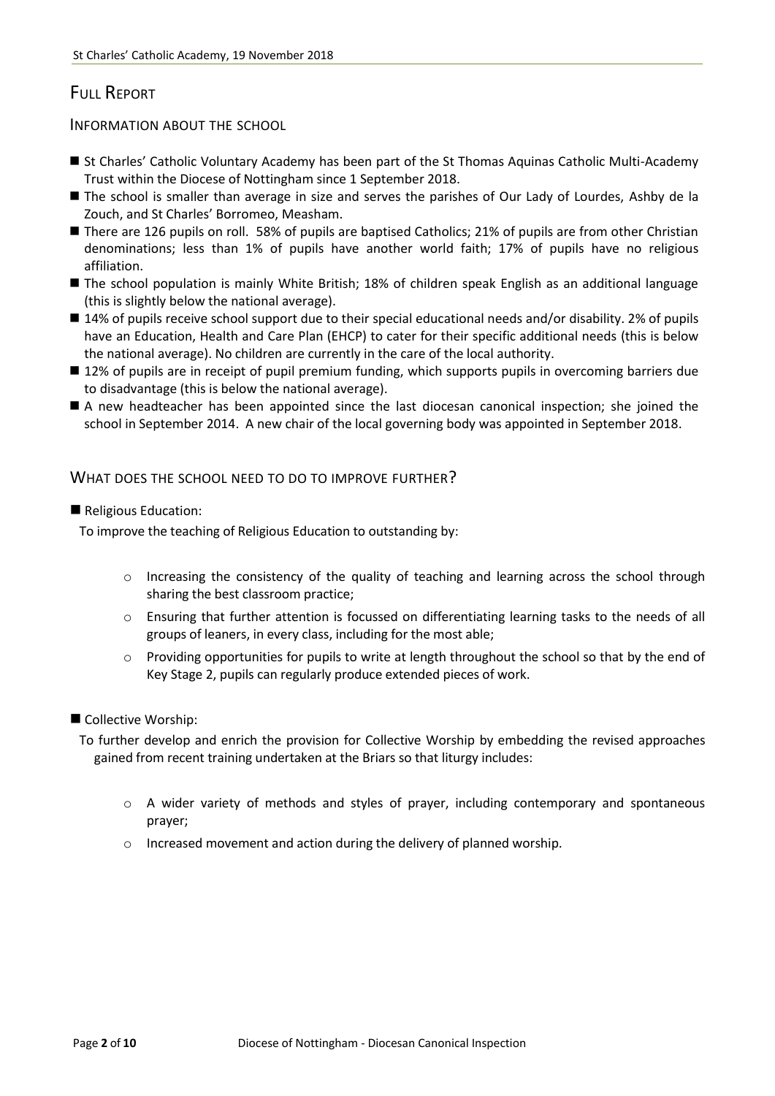## FULL REPORT

INFORMATION ABOUT THE SCHOOL

- St Charles' Catholic Voluntary Academy has been part of the St Thomas Aquinas Catholic Multi-Academy Trust within the Diocese of Nottingham since 1 September 2018.
- The school is smaller than average in size and serves the parishes of Our Lady of Lourdes, Ashby de la Zouch, and St Charles' Borromeo, Measham.
- There are 126 pupils on roll. 58% of pupils are baptised Catholics; 21% of pupils are from other Christian denominations; less than 1% of pupils have another world faith; 17% of pupils have no religious affiliation.
- The school population is mainly White British; 18% of children speak English as an additional language (this is slightly below the national average).
- 14% of pupils receive school support due to their special educational needs and/or disability. 2% of pupils have an Education, Health and Care Plan (EHCP) to cater for their specific additional needs (this is below the national average). No children are currently in the care of the local authority.
- 12% of pupils are in receipt of pupil premium funding, which supports pupils in overcoming barriers due to disadvantage (this is below the national average).
- A new headteacher has been appointed since the last diocesan canonical inspection; she joined the school in September 2014. A new chair of the local governing body was appointed in September 2018.

#### WHAT DOES THE SCHOOL NEED TO DO TO IMPROVE FURTHER?

Religious Education:

To improve the teaching of Religious Education to outstanding by:

- $\circ$  Increasing the consistency of the quality of teaching and learning across the school through sharing the best classroom practice;
- o Ensuring that further attention is focussed on differentiating learning tasks to the needs of all groups of leaners, in every class, including for the most able;
- o Providing opportunities for pupils to write at length throughout the school so that by the end of Key Stage 2, pupils can regularly produce extended pieces of work.
- Collective Worship:

To further develop and enrich the provision for Collective Worship by embedding the revised approaches gained from recent training undertaken at the Briars so that liturgy includes:

- o A wider variety of methods and styles of prayer, including contemporary and spontaneous prayer;
- o Increased movement and action during the delivery of planned worship.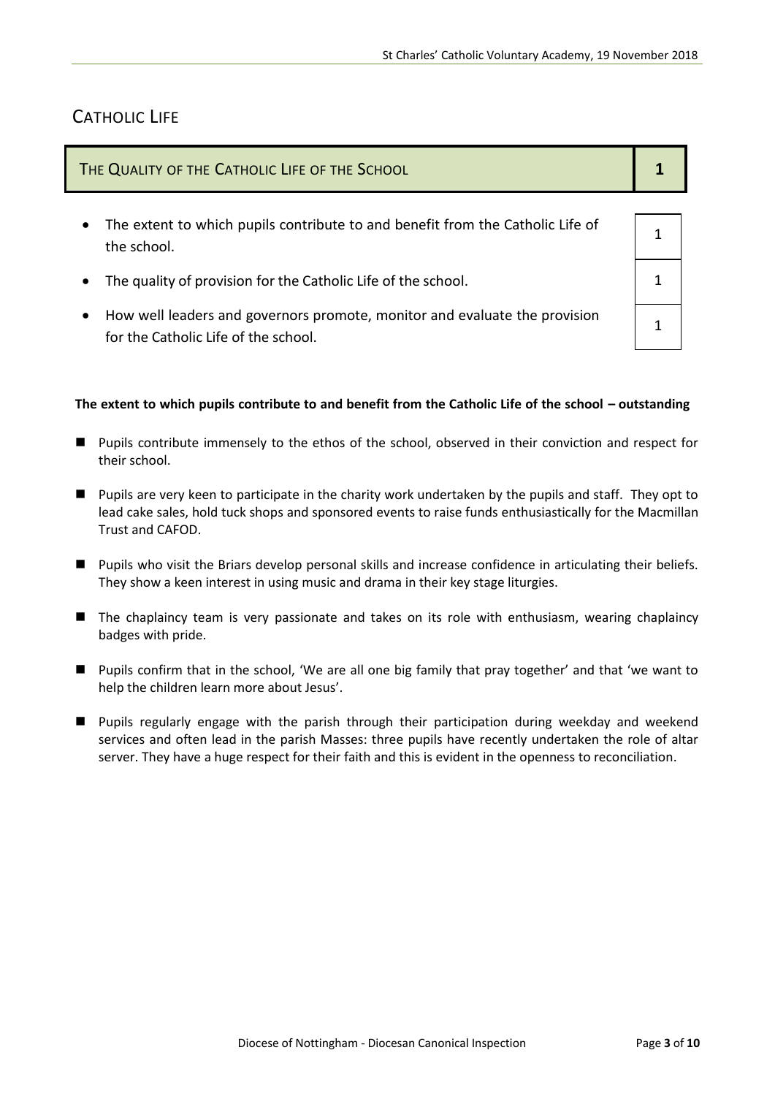## CATHOLIC LIFE

| THE QUALITY OF THE CATHOLIC LIFE OF THE SCHOOL                                                             |  |
|------------------------------------------------------------------------------------------------------------|--|
| The extent to which pupils contribute to and benefit from the Catholic Life of<br>$\bullet$<br>the school. |  |
| The quality of provision for the Catholic Life of the school.                                              |  |
|                                                                                                            |  |

 How well leaders and governors promote, monitor and evaluate the provision for the Catholic Life of the school.

#### The extent to which pupils contribute to and benefit from the Catholic Life of the school - outstanding

- **Pupils contribute immensely to the ethos of the school, observed in their conviction and respect for** their school.
- Pupils are very keen to participate in the charity work undertaken by the pupils and staff. They opt to lead cake sales, hold tuck shops and sponsored events to raise funds enthusiastically for the Macmillan Trust and CAFOD.
- **Pupils who visit the Briars develop personal skills and increase confidence in articulating their beliefs.** They show a keen interest in using music and drama in their key stage liturgies.
- The chaplaincy team is very passionate and takes on its role with enthusiasm, wearing chaplaincy badges with pride.
- **Pupils confirm that in the school, 'We are all one big family that pray together' and that 'we want to** help the children learn more about Jesus'.
- Pupils regularly engage with the parish through their participation during weekday and weekend services and often lead in the parish Masses: three pupils have recently undertaken the role of altar server. They have a huge respect for their faith and this is evident in the openness to reconciliation.

1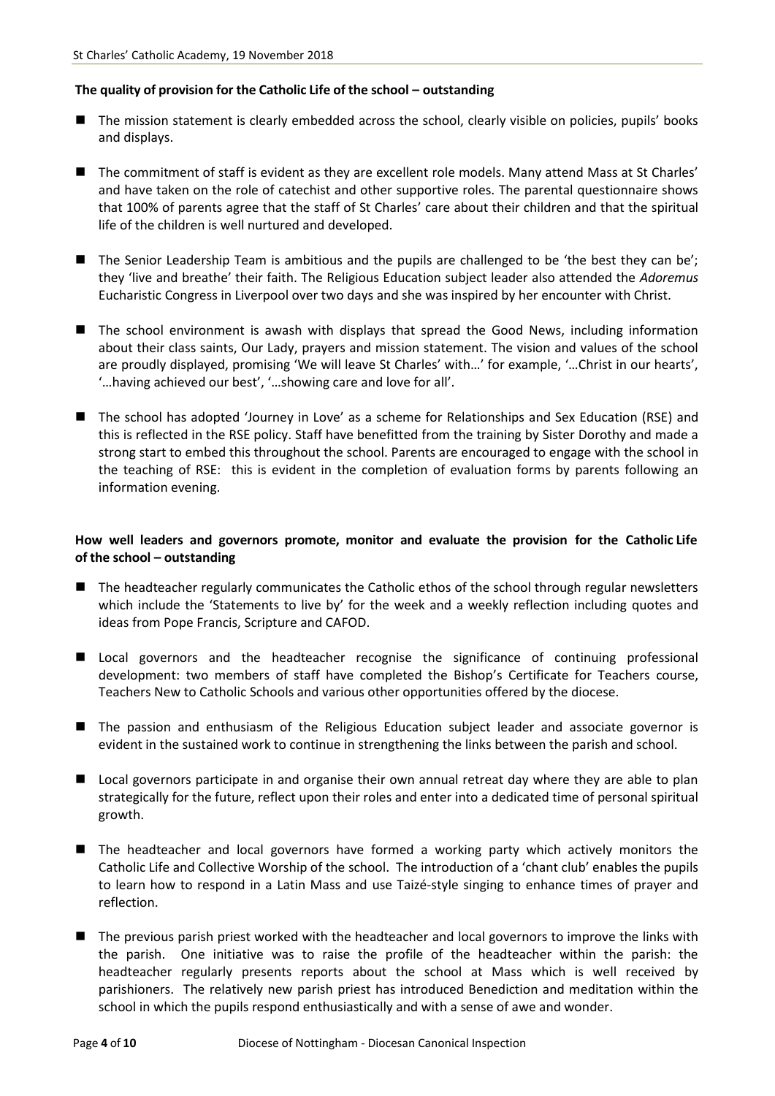#### **The quality of provision for the Catholic Life of the school – outstanding**

- The mission statement is clearly embedded across the school, clearly visible on policies, pupils' books and displays.
- The commitment of staff is evident as they are excellent role models. Many attend Mass at St Charles' and have taken on the role of catechist and other supportive roles. The parental questionnaire shows that 100% of parents agree that the staff of St Charles' care about their children and that the spiritual life of the children is well nurtured and developed.
- The Senior Leadership Team is ambitious and the pupils are challenged to be 'the best they can be'; they 'live and breathe' their faith. The Religious Education subject leader also attended the *Adoremus*  Eucharistic Congress in Liverpool over two days and she was inspired by her encounter with Christ.
- The school environment is awash with displays that spread the Good News, including information about their class saints, Our Lady, prayers and mission statement. The vision and values of the school are proudly displayed, promising 'We will leave St Charles' with…' for example, '…Christ in our hearts', '…having achieved our best', '…showing care and love for all'.
- The school has adopted 'Journey in Love' as a scheme for Relationships and Sex Education (RSE) and this is reflected in the RSE policy. Staff have benefitted from the training by Sister Dorothy and made a strong start to embed this throughout the school. Parents are encouraged to engage with the school in the teaching of RSE: this is evident in the completion of evaluation forms by parents following an information evening.

#### **How well leaders and governors promote, monitor and evaluate the provision for the Catholic Life of the school – outstanding**

- The headteacher regularly communicates the Catholic ethos of the school through regular newsletters which include the 'Statements to live by' for the week and a weekly reflection including quotes and ideas from Pope Francis, Scripture and CAFOD.
- **Lecal governors and the headteacher recognise the significance of continuing professional** development: two members of staff have completed the Bishop's Certificate for Teachers course, Teachers New to Catholic Schools and various other opportunities offered by the diocese.
- The passion and enthusiasm of the Religious Education subject leader and associate governor is evident in the sustained work to continue in strengthening the links between the parish and school.
- Local governors participate in and organise their own annual retreat day where they are able to plan strategically for the future, reflect upon their roles and enter into a dedicated time of personal spiritual growth.
- The headteacher and local governors have formed a working party which actively monitors the Catholic Life and Collective Worship of the school. The introduction of a 'chant club' enables the pupils to learn how to respond in a Latin Mass and use Taizé-style singing to enhance times of prayer and reflection.
- The previous parish priest worked with the headteacher and local governors to improve the links with the parish. One initiative was to raise the profile of the headteacher within the parish: the headteacher regularly presents reports about the school at Mass which is well received by parishioners. The relatively new parish priest has introduced Benediction and meditation within the school in which the pupils respond enthusiastically and with a sense of awe and wonder.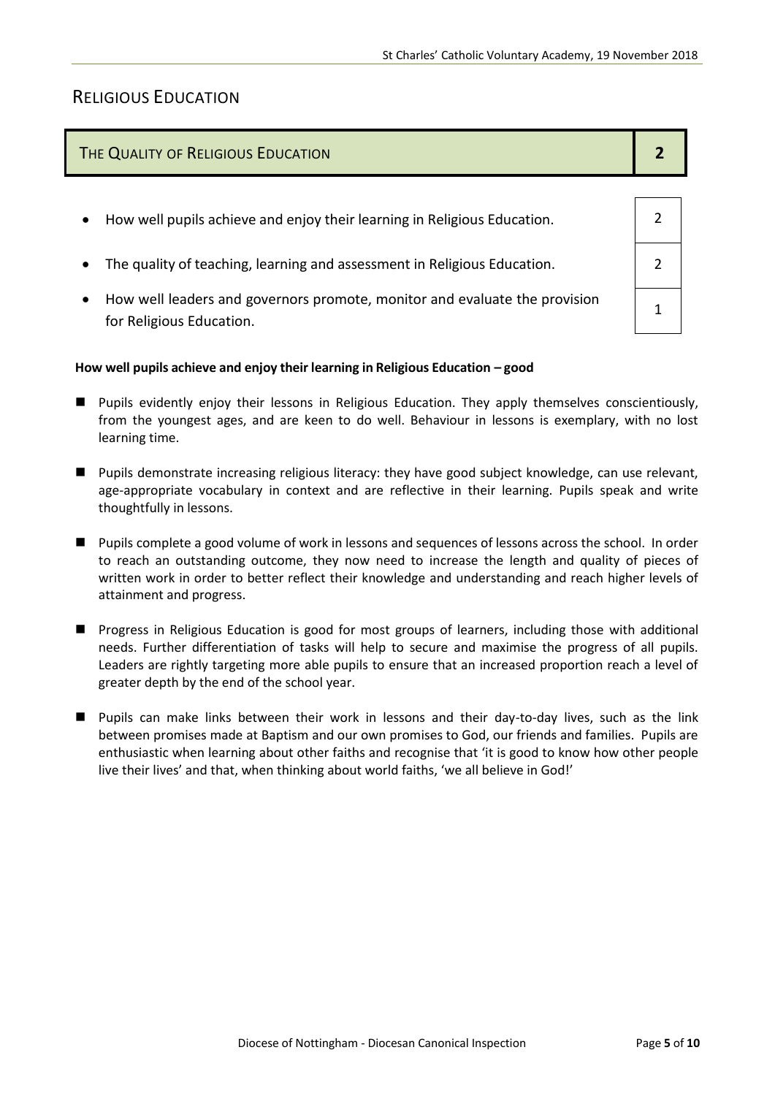## RELIGIOUS EDUCATION

# THE QUALITY OF RELIGIOUS EDUCATION **2**  $\bullet$  How well pupils achieve and enjoy their learning in Religious Education.  $\vert$  2 • The quality of teaching, learning and assessment in Religious Education.  $\vert$  2 How well leaders and governors promote, monitor and evaluate the provision for Religious Education. 1

#### **How well pupils achieve and enjoy their learning in Religious Education – good**

- Pupils evidently enjoy their lessons in Religious Education. They apply themselves conscientiously, from the youngest ages, and are keen to do well. Behaviour in lessons is exemplary, with no lost learning time.
- **Pupils demonstrate increasing religious literacy: they have good subject knowledge, can use relevant,** age-appropriate vocabulary in context and are reflective in their learning. Pupils speak and write thoughtfully in lessons.
- Pupils complete a good volume of work in lessons and sequences of lessons across the school. In order to reach an outstanding outcome, they now need to increase the length and quality of pieces of written work in order to better reflect their knowledge and understanding and reach higher levels of attainment and progress.
- **Progress in Religious Education is good for most groups of learners, including those with additional** needs. Further differentiation of tasks will help to secure and maximise the progress of all pupils. Leaders are rightly targeting more able pupils to ensure that an increased proportion reach a level of greater depth by the end of the school year.
- Pupils can make links between their work in lessons and their day-to-day lives, such as the link between promises made at Baptism and our own promises to God, our friends and families. Pupils are enthusiastic when learning about other faiths and recognise that 'it is good to know how other people live their lives' and that, when thinking about world faiths, 'we all believe in God!'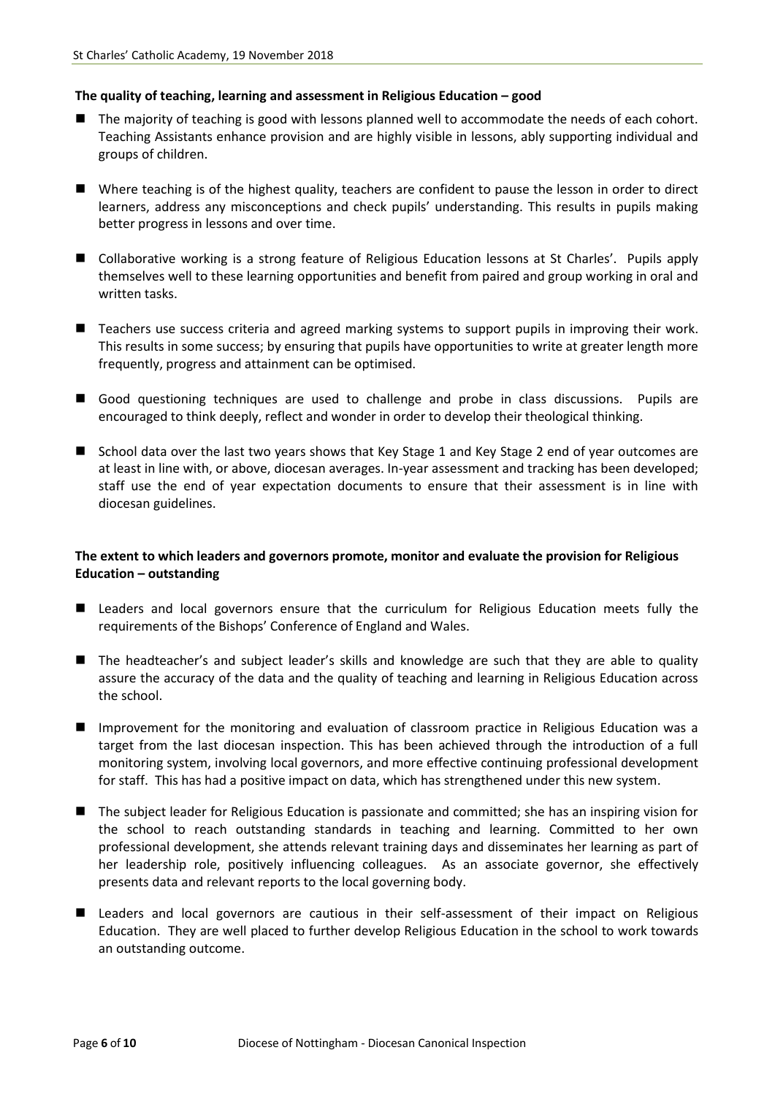#### **The quality of teaching, learning and assessment in Religious Education – good**

- The majority of teaching is good with lessons planned well to accommodate the needs of each cohort. Teaching Assistants enhance provision and are highly visible in lessons, ably supporting individual and groups of children.
- Where teaching is of the highest quality, teachers are confident to pause the lesson in order to direct learners, address any misconceptions and check pupils' understanding. This results in pupils making better progress in lessons and over time.
- Collaborative working is a strong feature of Religious Education lessons at St Charles'. Pupils apply themselves well to these learning opportunities and benefit from paired and group working in oral and written tasks.
- Teachers use success criteria and agreed marking systems to support pupils in improving their work. This results in some success; by ensuring that pupils have opportunities to write at greater length more frequently, progress and attainment can be optimised.
- Good questioning techniques are used to challenge and probe in class discussions. Pupils are encouraged to think deeply, reflect and wonder in order to develop their theological thinking.
- School data over the last two years shows that Key Stage 1 and Key Stage 2 end of year outcomes are at least in line with, or above, diocesan averages. In-year assessment and tracking has been developed; staff use the end of year expectation documents to ensure that their assessment is in line with diocesan guidelines.

#### **The extent to which leaders and governors promote, monitor and evaluate the provision for Religious Education – outstanding**

- **E** Leaders and local governors ensure that the curriculum for Religious Education meets fully the requirements of the Bishops' Conference of England and Wales.
- The headteacher's and subject leader's skills and knowledge are such that they are able to quality assure the accuracy of the data and the quality of teaching and learning in Religious Education across the school.
- **Improvement for the monitoring and evaluation of classroom practice in Religious Education was a** target from the last diocesan inspection. This has been achieved through the introduction of a full monitoring system, involving local governors, and more effective continuing professional development for staff. This has had a positive impact on data, which has strengthened under this new system.
- The subject leader for Religious Education is passionate and committed; she has an inspiring vision for the school to reach outstanding standards in teaching and learning. Committed to her own professional development, she attends relevant training days and disseminates her learning as part of her leadership role, positively influencing colleagues. As an associate governor, she effectively presents data and relevant reports to the local governing body.
- Leaders and local governors are cautious in their self-assessment of their impact on Religious Education. They are well placed to further develop Religious Education in the school to work towards an outstanding outcome.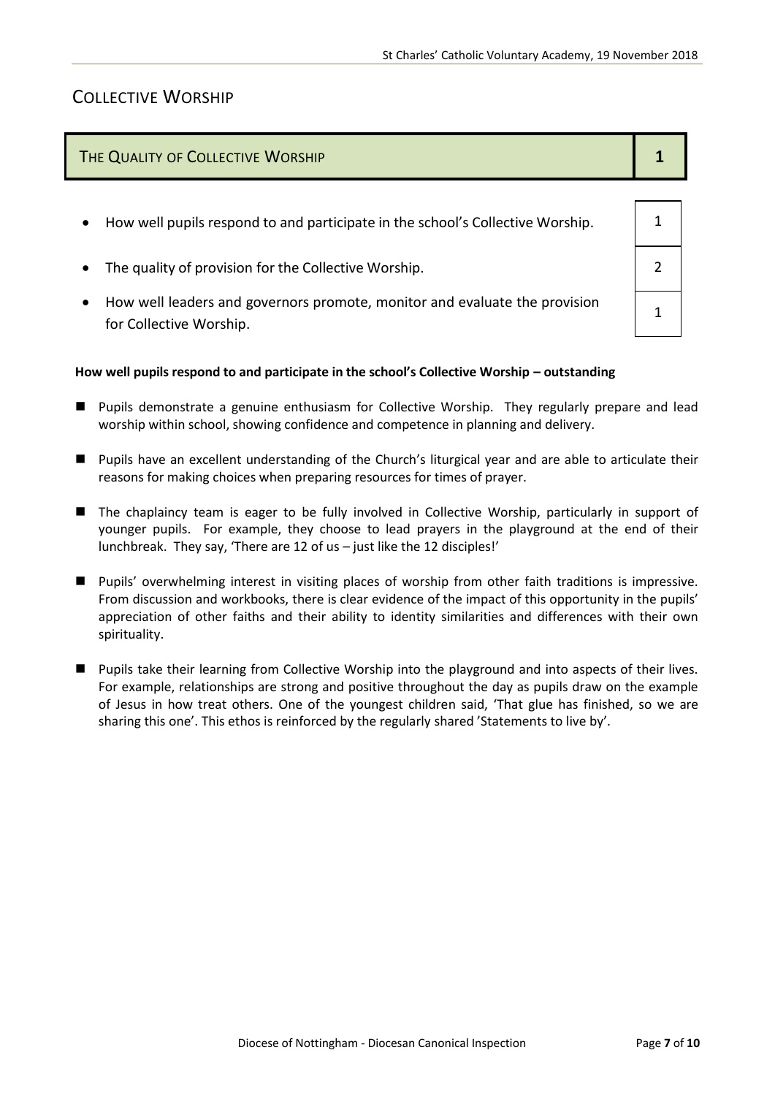## COLLECTIVE WORSHIP

| THE QUALITY OF COLLECTIVE WORSHIP                                                           |  |
|---------------------------------------------------------------------------------------------|--|
| How well pupils respond to and participate in the school's Collective Worship.<br>$\bullet$ |  |
| The quality of provision for the Collective Worship.<br>$\bullet$                           |  |

 How well leaders and governors promote, monitor and evaluate the provision for Collective Worship.

#### **How well pupils respond to and participate in the school's Collective Worship – outstanding**

- Pupils demonstrate a genuine enthusiasm for Collective Worship. They regularly prepare and lead worship within school, showing confidence and competence in planning and delivery.
- Pupils have an excellent understanding of the Church's liturgical year and are able to articulate their reasons for making choices when preparing resources for times of prayer.
- The chaplaincy team is eager to be fully involved in Collective Worship, particularly in support of younger pupils. For example, they choose to lead prayers in the playground at the end of their lunchbreak. They say, 'There are 12 of us – just like the 12 disciples!'
- **Pupils'** overwhelming interest in visiting places of worship from other faith traditions is impressive. From discussion and workbooks, there is clear evidence of the impact of this opportunity in the pupils' appreciation of other faiths and their ability to identity similarities and differences with their own spirituality.
- **Pupils take their learning from Collective Worship into the playground and into aspects of their lives.** For example, relationships are strong and positive throughout the day as pupils draw on the example of Jesus in how treat others. One of the youngest children said, 'That glue has finished, so we are sharing this one'. This ethos is reinforced by the regularly shared 'Statements to live by'.

1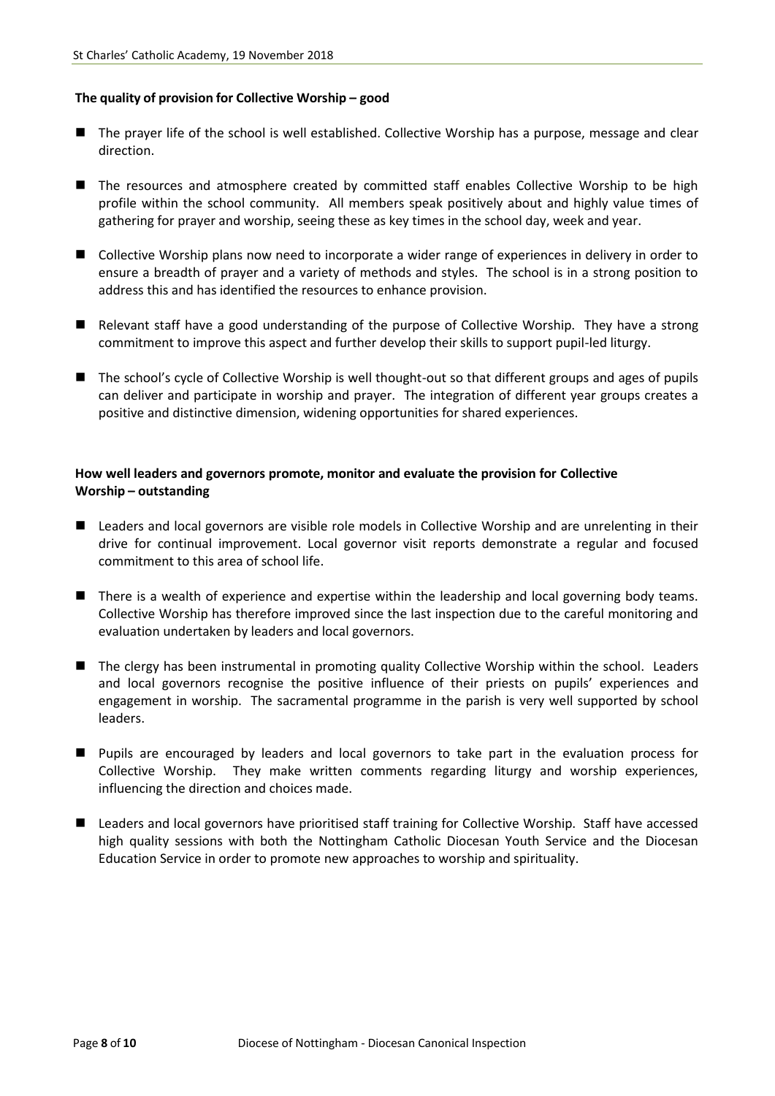#### **The quality of provision for Collective Worship – good**

- The prayer life of the school is well established. Collective Worship has a purpose, message and clear direction.
- **The resources and atmosphere created by committed staff enables Collective Worship to be high** profile within the school community. All members speak positively about and highly value times of gathering for prayer and worship, seeing these as key times in the school day, week and year.
- Collective Worship plans now need to incorporate a wider range of experiences in delivery in order to ensure a breadth of prayer and a variety of methods and styles. The school is in a strong position to address this and has identified the resources to enhance provision.
- Relevant staff have a good understanding of the purpose of Collective Worship. They have a strong commitment to improve this aspect and further develop their skills to support pupil-led liturgy.
- The school's cycle of Collective Worship is well thought-out so that different groups and ages of pupils can deliver and participate in worship and prayer. The integration of different year groups creates a positive and distinctive dimension, widening opportunities for shared experiences.

#### **How well leaders and governors promote, monitor and evaluate the provision for Collective Worship – outstanding**

- Leaders and local governors are visible role models in Collective Worship and are unrelenting in their drive for continual improvement. Local governor visit reports demonstrate a regular and focused commitment to this area of school life.
- There is a wealth of experience and expertise within the leadership and local governing body teams. Collective Worship has therefore improved since the last inspection due to the careful monitoring and evaluation undertaken by leaders and local governors.
- The clergy has been instrumental in promoting quality Collective Worship within the school. Leaders and local governors recognise the positive influence of their priests on pupils' experiences and engagement in worship. The sacramental programme in the parish is very well supported by school leaders.
- **Pupils are encouraged by leaders and local governors to take part in the evaluation process for** Collective Worship. They make written comments regarding liturgy and worship experiences, influencing the direction and choices made.
- Leaders and local governors have prioritised staff training for Collective Worship. Staff have accessed high quality sessions with both the Nottingham Catholic Diocesan Youth Service and the Diocesan Education Service in order to promote new approaches to worship and spirituality.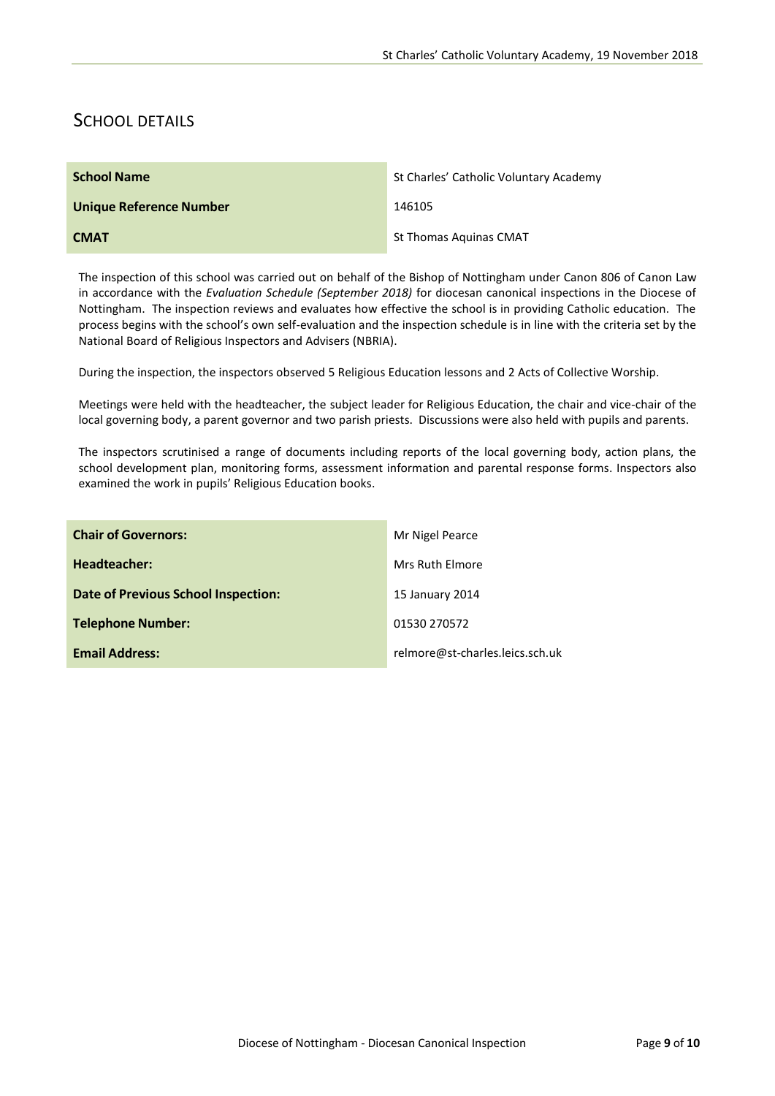## SCHOOL DETAILS

| <b>School Name</b>             | St Charles' Catholic Voluntary Academy |
|--------------------------------|----------------------------------------|
| <b>Unique Reference Number</b> | 146105                                 |
| <b>CMAT</b>                    | <b>St Thomas Aquinas CMAT</b>          |

The inspection of this school was carried out on behalf of the Bishop of Nottingham under Canon 806 of Canon Law in accordance with the *Evaluation Schedule (September 2018)* for diocesan canonical inspections in the Diocese of Nottingham. The inspection reviews and evaluates how effective the school is in providing Catholic education. The process begins with the school's own self-evaluation and the inspection schedule is in line with the criteria set by the National Board of Religious Inspectors and Advisers (NBRIA).

During the inspection, the inspectors observed 5 Religious Education lessons and 2 Acts of Collective Worship.

Meetings were held with the headteacher, the subject leader for Religious Education, the chair and vice-chair of the local governing body, a parent governor and two parish priests. Discussions were also held with pupils and parents.

The inspectors scrutinised a range of documents including reports of the local governing body, action plans, the school development plan, monitoring forms, assessment information and parental response forms. Inspectors also examined the work in pupils' Religious Education books.

| <b>Chair of Governors:</b>          | Mr Nigel Pearce                 |
|-------------------------------------|---------------------------------|
| Headteacher:                        | Mrs Ruth Elmore                 |
| Date of Previous School Inspection: | 15 January 2014                 |
| <b>Telephone Number:</b>            | 01530 270572                    |
| <b>Email Address:</b>               | relmore@st-charles.leics.sch.uk |